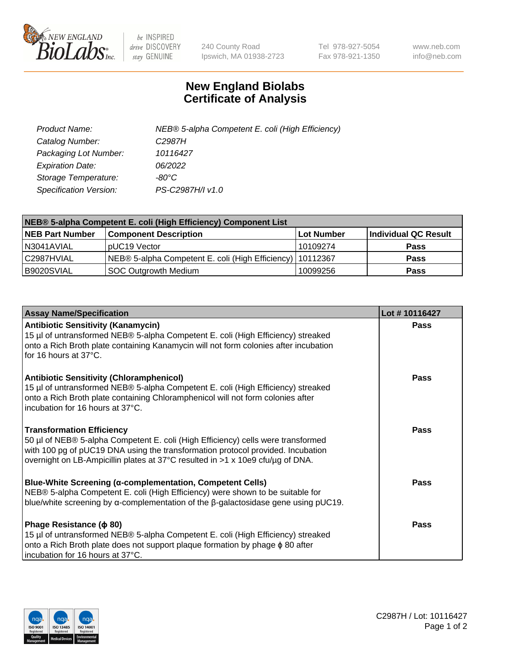

 $be$  INSPIRED drive DISCOVERY stay GENUINE

240 County Road Ipswich, MA 01938-2723 Tel 978-927-5054 Fax 978-921-1350 www.neb.com info@neb.com

## **New England Biolabs Certificate of Analysis**

| Product Name:           | NEB® 5-alpha Competent E. coli (High Efficiency) |
|-------------------------|--------------------------------------------------|
| Catalog Number:         | C <sub>2987</sub> H                              |
| Packaging Lot Number:   | 10116427                                         |
| <b>Expiration Date:</b> | 06/2022                                          |
| Storage Temperature:    | -80°C.                                           |
| Specification Version:  | PS-C2987H/I v1.0                                 |

| NEB® 5-alpha Competent E. coli (High Efficiency) Component List |                                                             |            |                      |  |
|-----------------------------------------------------------------|-------------------------------------------------------------|------------|----------------------|--|
| <b>NEB Part Number</b>                                          | <b>Component Description</b>                                | Lot Number | Individual QC Result |  |
| N3041AVIAL                                                      | pUC19 Vector                                                | 10109274   | <b>Pass</b>          |  |
| C2987HVIAL                                                      | NEB® 5-alpha Competent E. coli (High Efficiency)   10112367 |            | <b>Pass</b>          |  |
| B9020SVIAL                                                      | SOC Outgrowth Medium                                        | 10099256   | <b>Pass</b>          |  |

| <b>Assay Name/Specification</b>                                                                                                                                                                                                                                                           | Lot #10116427 |
|-------------------------------------------------------------------------------------------------------------------------------------------------------------------------------------------------------------------------------------------------------------------------------------------|---------------|
| <b>Antibiotic Sensitivity (Kanamycin)</b><br>15 µl of untransformed NEB® 5-alpha Competent E. coli (High Efficiency) streaked<br>onto a Rich Broth plate containing Kanamycin will not form colonies after incubation<br>for 16 hours at 37°C.                                            | Pass          |
| <b>Antibiotic Sensitivity (Chloramphenicol)</b><br>15 µl of untransformed NEB® 5-alpha Competent E. coli (High Efficiency) streaked<br>onto a Rich Broth plate containing Chloramphenicol will not form colonies after<br>incubation for 16 hours at 37°C.                                | Pass          |
| <b>Transformation Efficiency</b><br>50 µl of NEB® 5-alpha Competent E. coli (High Efficiency) cells were transformed<br>with 100 pg of pUC19 DNA using the transformation protocol provided. Incubation<br>overnight on LB-Ampicillin plates at 37°C resulted in >1 x 10e9 cfu/µg of DNA. | Pass          |
| <b>Blue-White Screening (α-complementation, Competent Cells)</b><br>NEB® 5-alpha Competent E. coli (High Efficiency) were shown to be suitable for<br>blue/white screening by $\alpha$ -complementation of the $\beta$ -galactosidase gene using pUC19.                                   | Pass          |
| Phage Resistance ( $\phi$ 80)<br>15 µl of untransformed NEB® 5-alpha Competent E. coli (High Efficiency) streaked<br>onto a Rich Broth plate does not support plaque formation by phage φ 80 after<br>incubation for 16 hours at 37°C.                                                    | Pass          |